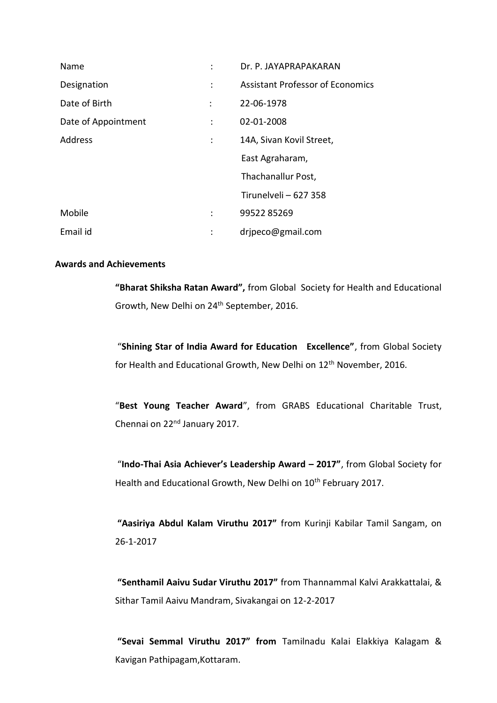| Name                |                | Dr. P. JAYAPRAPAKARAN                   |
|---------------------|----------------|-----------------------------------------|
| Designation         | ÷              | <b>Assistant Professor of Economics</b> |
| Date of Birth       | ÷              | 22-06-1978                              |
| Date of Appointment | ÷              | 02-01-2008                              |
| <b>Address</b>      | $\ddot{\cdot}$ | 14A, Sivan Kovil Street,                |
|                     |                | East Agraharam,                         |
|                     |                | Thachanallur Post,                      |
|                     |                | Tirunelveli - 627 358                   |
| Mobile              |                | 9952285269                              |
| Email id            | :              | dripeco@gmail.com                       |

#### **Awards and Achievements**

**"Bharat Shiksha Ratan Award",** from Global Society for Health and Educational Growth, New Delhi on 24<sup>th</sup> September, 2016.

"**Shining Star of India Award for Education Excellence"**, from Global Society for Health and Educational Growth, New Delhi on 12<sup>th</sup> November, 2016.

"**Best Young Teacher Award**", from GRABS Educational Charitable Trust, Chennai on 22nd January 2017.

"**Indo-Thai Asia Achiever's Leadership Award – 2017"**, from Global Society for Health and Educational Growth, New Delhi on 10<sup>th</sup> February 2017.

**"Aasiriya Abdul Kalam Viruthu 2017"** from Kurinji Kabilar Tamil Sangam, on 26-1-2017

**"Senthamil Aaivu Sudar Viruthu 2017"** from Thannammal Kalvi Arakkattalai, & Sithar Tamil Aaivu Mandram, Sivakangai on 12-2-2017

**"Sevai Semmal Viruthu 2017" from** Tamilnadu Kalai Elakkiya Kalagam & Kavigan Pathipagam,Kottaram.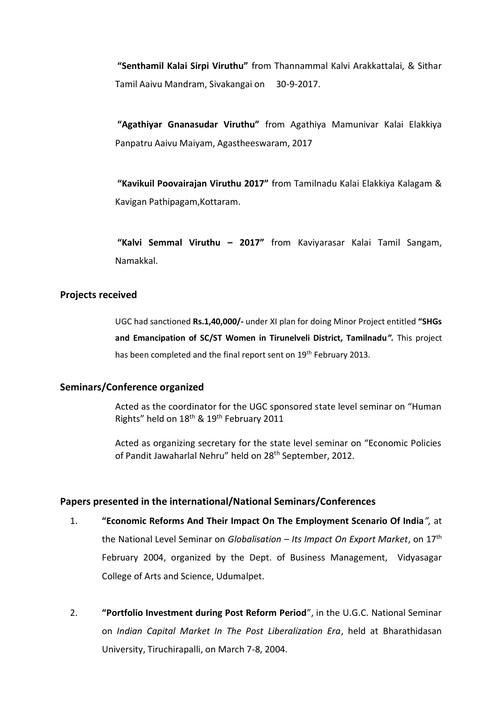**"Senthamil Kalai Sirpi Viruthu"** from Thannammal Kalvi Arakkattalai, & Sithar Tamil Aaivu Mandram, Sivakangai on 30-9-2017.

**"Agathiyar Gnanasudar Viruthu"** from Agathiya Mamunivar Kalai Elakkiya Panpatru Aaivu Maiyam, Agastheeswaram, 2017

**"Kavikuil Poovairajan Viruthu 2017"** from Tamilnadu Kalai Elakkiya Kalagam & Kavigan Pathipagam,Kottaram.

**"Kalvi Semmal Viruthu – 2017"** from Kaviyarasar Kalai Tamil Sangam, Namakkal.

### **Projects received**

UGC had sanctioned **Rs.1,40,000/-** under XI plan for doing Minor Project entitled **"SHGs and Emancipation of SC/ST Women in Tirunelveli District, Tamilnadu***".* This project has been completed and the final report sent on 19<sup>th</sup> February 2013.

#### **Seminars/Conference organized**

Acted as the coordinator for the UGC sponsored state level seminar on "Human Rights" held on 18<sup>th</sup> & 19<sup>th</sup> February 2011

Acted as organizing secretary for the state level seminar on "Economic Policies of Pandit Jawaharlal Nehru" held on 28<sup>th</sup> September, 2012.

#### **Papers presented in the international/National Seminars/Conferences**

- 1. **"Economic Reforms And Their Impact On The Employment Scenario Of India***",* at the National Level Seminar on *Globalisation – Its Impact On Export Market*, on 17th February 2004, organized by the Dept. of Business Management, Vidyasagar College of Arts and Science, Udumalpet.
- 2. **"Portfolio Investment during Post Reform Period**", in the U.G.C. National Seminar on *Indian Capital Market In The Post Liberalization Era*, held at Bharathidasan University, Tiruchirapalli, on March 7-8, 2004.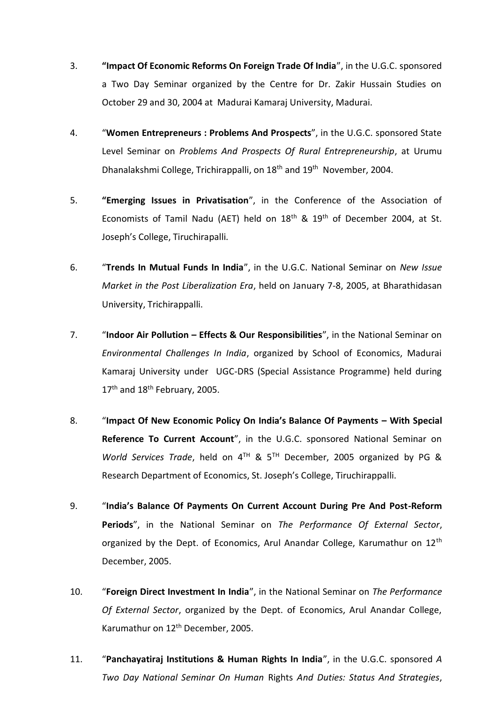- 3. **"Impact Of Economic Reforms On Foreign Trade Of India**", in the U.G.C. sponsored a Two Day Seminar organized by the Centre for Dr. Zakir Hussain Studies on October 29 and 30, 2004 at Madurai Kamaraj University, Madurai.
- 4. "**Women Entrepreneurs : Problems And Prospects**", in the U.G.C. sponsored State Level Seminar on *Problems And Prospects Of Rural Entrepreneurship*, at Urumu Dhanalakshmi College, Trichirappalli, on 18<sup>th</sup> and 19<sup>th</sup> November, 2004.
- 5. **"Emerging Issues in Privatisation**", in the Conference of the Association of Economists of Tamil Nadu (AET) held on  $18<sup>th</sup>$  &  $19<sup>th</sup>$  of December 2004, at St. Joseph's College, Tiruchirapalli.
- 6. "**Trends In Mutual Funds In India**", in the U.G.C. National Seminar on *New Issue Market in the Post Liberalization Era*, held on January 7-8, 2005, at Bharathidasan University, Trichirappalli.
- 7. "**Indoor Air Pollution – Effects & Our Responsibilities**", in the National Seminar on *Environmental Challenges In India*, organized by School of Economics, Madurai Kamaraj University under UGC-DRS (Special Assistance Programme) held during 17<sup>th</sup> and 18<sup>th</sup> February, 2005.
- 8. "**Impact Of New Economic Policy On India's Balance Of Payments – With Special Reference To Current Account**", in the U.G.C. sponsored National Seminar on *World Services Trade*, held on 4TH & 5TH December, 2005 organized by PG & Research Department of Economics, St. Joseph's College, Tiruchirappalli.
- 9. "**India's Balance Of Payments On Current Account During Pre And Post-Reform Periods**", in the National Seminar on *The Performance Of External Sector*, organized by the Dept. of Economics, Arul Anandar College, Karumathur on 12<sup>th</sup> December, 2005.
- 10. "**Foreign Direct Investment In India**", in the National Seminar on *The Performance Of External Sector*, organized by the Dept. of Economics, Arul Anandar College, Karumathur on 12th December, 2005.
- 11. "**Panchayatiraj Institutions & Human Rights In India**", in the U.G.C. sponsored *A Two Day National Seminar On Human* Rights *And Duties: Status And Strategies*,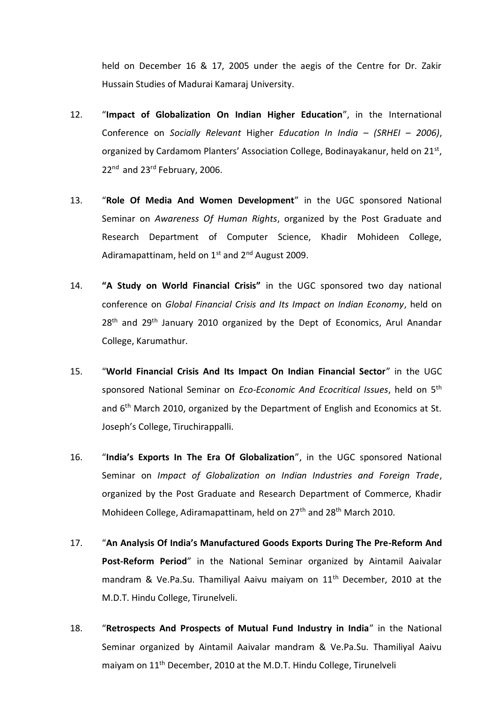held on December 16 & 17, 2005 under the aegis of the Centre for Dr. Zakir Hussain Studies of Madurai Kamaraj University.

- 12. "**Impact of Globalization On Indian Higher Education**", in the International Conference on *Socially Relevant* Higher *Education In India – (SRHEI – 2006)*, organized by Cardamom Planters' Association College, Bodinayakanur, held on 21<sup>st</sup>, 22<sup>nd</sup> and 23<sup>rd</sup> February, 2006.
- 13. "**Role Of Media And Women Development**" in the UGC sponsored National Seminar on *Awareness Of Human Rights*, organized by the Post Graduate and Research Department of Computer Science, Khadir Mohideen College, Adiramapattinam, held on  $1<sup>st</sup>$  and  $2<sup>nd</sup>$  August 2009.
- 14. **"A Study on World Financial Crisis"** in the UGC sponsored two day national conference on *Global Financial Crisis and Its Impact on Indian Economy*, held on 28<sup>th</sup> and 29<sup>th</sup> January 2010 organized by the Dept of Economics, Arul Anandar College, Karumathur.
- 15. "**World Financial Crisis And Its Impact On Indian Financial Sector**" in the UGC sponsored National Seminar on *Eco-Economic And Ecocritical Issues*, held on 5th and  $6<sup>th</sup>$  March 2010, organized by the Department of English and Economics at St. Joseph's College, Tiruchirappalli.
- 16. "**India's Exports In The Era Of Globalization**", in the UGC sponsored National Seminar on *Impact of Globalization on Indian Industries and Foreign Trade*, organized by the Post Graduate and Research Department of Commerce, Khadir Mohideen College, Adiramapattinam, held on 27<sup>th</sup> and 28<sup>th</sup> March 2010.
- 17. "**An Analysis Of India's Manufactured Goods Exports During The Pre-Reform And Post-Reform Period**" in the National Seminar organized by Aintamil Aaivalar mandram & Ve.Pa.Su. Thamiliyal Aaivu maiyam on 11<sup>th</sup> December, 2010 at the M.D.T. Hindu College, Tirunelveli.
- 18. "**Retrospects And Prospects of Mutual Fund Industry in India**" in the National Seminar organized by Aintamil Aaivalar mandram & Ve.Pa.Su. Thamiliyal Aaivu maiyam on 11<sup>th</sup> December, 2010 at the M.D.T. Hindu College, Tirunelveli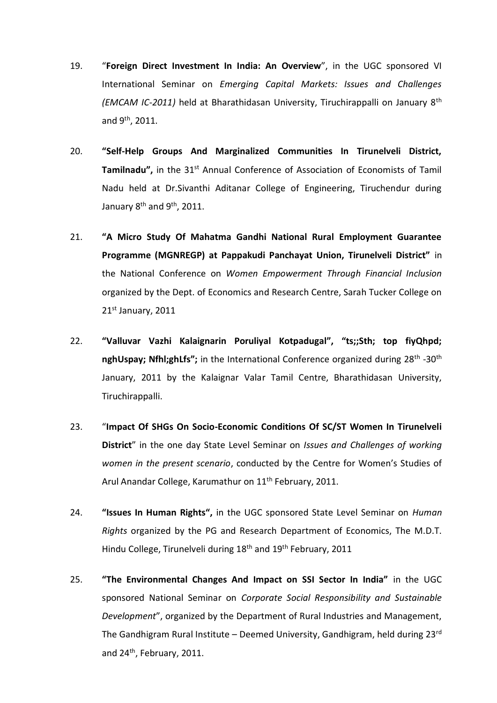- 19. "**Foreign Direct Investment In India: An Overview**", in the UGC sponsored VI International Seminar on *Emerging Capital Markets: Issues and Challenges (EMCAM IC-2011)* held at Bharathidasan University, Tiruchirappalli on January 8th and 9th, 2011.
- 20. **"Self-Help Groups And Marginalized Communities In Tirunelveli District, Tamilnadu",** in the 31<sup>st</sup> Annual Conference of Association of Economists of Tamil Nadu held at Dr.Sivanthi Aditanar College of Engineering, Tiruchendur during January  $8<sup>th</sup>$  and  $9<sup>th</sup>$ , 2011.
- 21. **"A Micro Study Of Mahatma Gandhi National Rural Employment Guarantee Programme (MGNREGP) at Pappakudi Panchayat Union, Tirunelveli District"** in the National Conference on *Women Empowerment Through Financial Inclusion* organized by the Dept. of Economics and Research Centre, Sarah Tucker College on 21st January, 2011
- 22. **"Valluvar Vazhi Kalaignarin Poruliyal Kotpadugal", "ts;;Sth; top fiyQhpd;**  nghUspay; Nfhl;ghLfs"; in the International Conference organized during 28<sup>th</sup> -30<sup>th</sup> January, 2011 by the Kalaignar Valar Tamil Centre, Bharathidasan University, Tiruchirappalli.
- 23. "**Impact Of SHGs On Socio-Economic Conditions Of SC/ST Women In Tirunelveli District**" in the one day State Level Seminar on *Issues and Challenges of working women in the present scenario*, conducted by the Centre for Women's Studies of Arul Anandar College, Karumathur on 11<sup>th</sup> February, 2011.
- 24. **"Issues In Human Rights",** in the UGC sponsored State Level Seminar on *Human Rights* organized by the PG and Research Department of Economics, The M.D.T. Hindu College, Tirunelveli during 18<sup>th</sup> and 19<sup>th</sup> February, 2011
- 25. **"The Environmental Changes And Impact on SSI Sector In India"** in the UGC sponsored National Seminar on *Corporate Social Responsibility and Sustainable Development*", organized by the Department of Rural Industries and Management, The Gandhigram Rural Institute – Deemed University, Gandhigram, held during  $23^{rd}$ and 24th, February, 2011.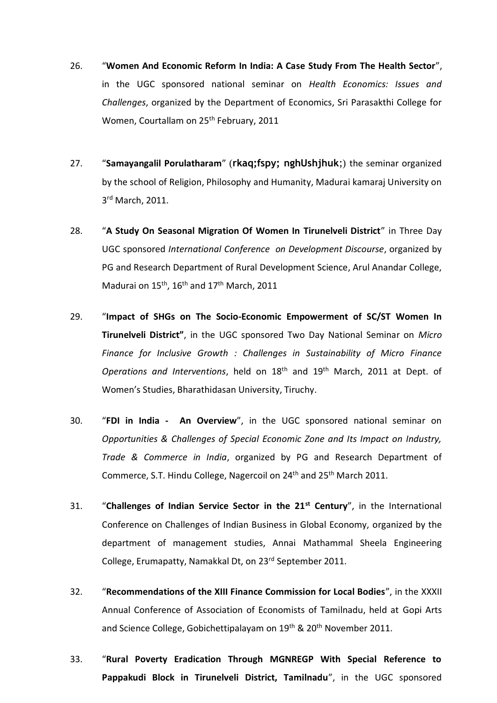- 26. "**Women And Economic Reform In India: A Case Study From The Health Sector**", in the UGC sponsored national seminar on *Health Economics: Issues and Challenges*, organized by the Department of Economics, Sri Parasakthi College for Women, Courtallam on 25<sup>th</sup> February, 2011
- 27. "**Samayangalil Porulatharam**" (**rkaq;fspy; nghUshjhuk**;) the seminar organized by the school of Religion, Philosophy and Humanity, Madurai kamaraj University on 3<sup>rd</sup> March, 2011.
- 28. "**A Study On Seasonal Migration Of Women In Tirunelveli District**" in Three Day UGC sponsored *International Conference on Development Discourse*, organized by PG and Research Department of Rural Development Science, Arul Anandar College, Madurai on 15<sup>th</sup>, 16<sup>th</sup> and 17<sup>th</sup> March, 2011
- 29. "**Impact of SHGs on The Socio-Economic Empowerment of SC/ST Women In Tirunelveli District"**, in the UGC sponsored Two Day National Seminar on *Micro Finance for Inclusive Growth : Challenges in Sustainability of Micro Finance Operations and Interventions*, held on 18th and 19th March, 2011 at Dept. of Women's Studies, Bharathidasan University, Tiruchy.
- 30. "**FDI in India An Overview**", in the UGC sponsored national seminar on *Opportunities & Challenges of Special Economic Zone and Its Impact on Industry, Trade & Commerce in India*, organized by PG and Research Department of Commerce, S.T. Hindu College, Nagercoil on 24<sup>th</sup> and 25<sup>th</sup> March 2011.
- 31. "**Challenges of Indian Service Sector in the 21st Century**", in the International Conference on Challenges of Indian Business in Global Economy, organized by the department of management studies, Annai Mathammal Sheela Engineering College, Erumapatty, Namakkal Dt, on 23rd September 2011.
- 32. "**Recommendations of the XIII Finance Commission for Local Bodies**", in the XXXII Annual Conference of Association of Economists of Tamilnadu, held at Gopi Arts and Science College, Gobichettipalayam on 19<sup>th</sup> & 20<sup>th</sup> November 2011.
- 33. "**Rural Poverty Eradication Through MGNREGP With Special Reference to Pappakudi Block in Tirunelveli District, Tamilnadu**", in the UGC sponsored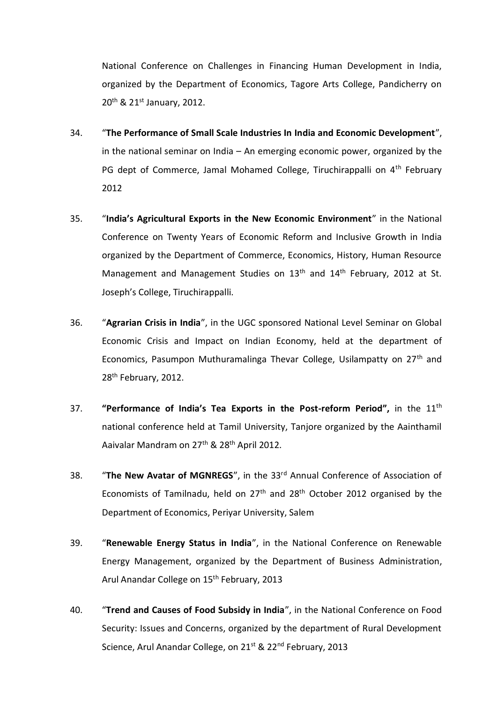National Conference on Challenges in Financing Human Development in India, organized by the Department of Economics, Tagore Arts College, Pandicherry on 20<sup>th</sup> & 21<sup>st</sup> January, 2012.

- 34. "**The Performance of Small Scale Industries In India and Economic Development**", in the national seminar on India – An emerging economic power, organized by the PG dept of Commerce, Jamal Mohamed College, Tiruchirappalli on 4<sup>th</sup> February 2012
- 35. "**India's Agricultural Exports in the New Economic Environment**" in the National Conference on Twenty Years of Economic Reform and Inclusive Growth in India organized by the Department of Commerce, Economics, History, Human Resource Management and Management Studies on 13<sup>th</sup> and 14<sup>th</sup> February, 2012 at St. Joseph's College, Tiruchirappalli.
- 36. "**Agrarian Crisis in India**", in the UGC sponsored National Level Seminar on Global Economic Crisis and Impact on Indian Economy, held at the department of Economics, Pasumpon Muthuramalinga Thevar College, Usilampatty on 27<sup>th</sup> and 28th February, 2012.
- 37. **"Performance of India's Tea Exports in the Post-reform Period",** in the 11th national conference held at Tamil University, Tanjore organized by the Aainthamil Aaivalar Mandram on 27<sup>th</sup> & 28<sup>th</sup> April 2012.
- 38. "**The New Avatar of MGNREGS**", in the 33rd Annual Conference of Association of Economists of Tamilnadu, held on  $27<sup>th</sup>$  and  $28<sup>th</sup>$  October 2012 organised by the Department of Economics, Periyar University, Salem
- 39. "**Renewable Energy Status in India**", in the National Conference on Renewable Energy Management, organized by the Department of Business Administration, Arul Anandar College on 15<sup>th</sup> February, 2013
- 40. "**Trend and Causes of Food Subsidy in India**", in the National Conference on Food Security: Issues and Concerns, organized by the department of Rural Development Science, Arul Anandar College, on 21<sup>st</sup> & 22<sup>nd</sup> February, 2013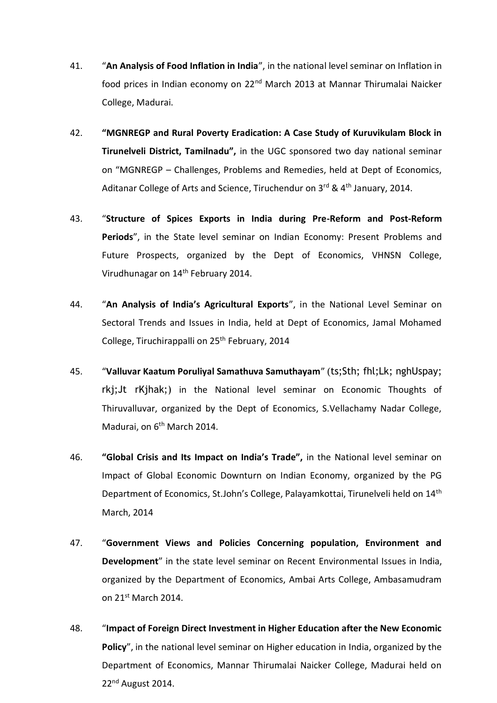- 41. "**An Analysis of Food Inflation in India**", in the national level seminar on Inflation in food prices in Indian economy on 22<sup>nd</sup> March 2013 at Mannar Thirumalai Naicker College, Madurai.
- 42. **"MGNREGP and Rural Poverty Eradication: A Case Study of Kuruvikulam Block in Tirunelveli District, Tamilnadu",** in the UGC sponsored two day national seminar on "MGNREGP – Challenges, Problems and Remedies, held at Dept of Economics, Aditanar College of Arts and Science, Tiruchendur on 3rd & 4<sup>th</sup> January, 2014.
- 43. "**Structure of Spices Exports in India during Pre-Reform and Post-Reform Periods**", in the State level seminar on Indian Economy: Present Problems and Future Prospects, organized by the Dept of Economics, VHNSN College, Virudhunagar on 14th February 2014.
- 44. "**An Analysis of India's Agricultural Exports**", in the National Level Seminar on Sectoral Trends and Issues in India, held at Dept of Economics, Jamal Mohamed College, Tiruchirappalli on 25<sup>th</sup> February, 2014
- 45. "**Valluvar Kaatum Poruliyal Samathuva Samuthayam**" (ts;Sth; fhl;Lk; nghUspay; rkj;Jt rKjhak;) in the National level seminar on Economic Thoughts of Thiruvalluvar, organized by the Dept of Economics, S.Vellachamy Nadar College, Madurai, on 6<sup>th</sup> March 2014.
- 46. **"Global Crisis and Its Impact on India's Trade",** in the National level seminar on Impact of Global Economic Downturn on Indian Economy, organized by the PG Department of Economics, St.John's College, Palayamkottai, Tirunelveli held on 14<sup>th</sup> March, 2014
- 47. "**Government Views and Policies Concerning population, Environment and Development**" in the state level seminar on Recent Environmental Issues in India, organized by the Department of Economics, Ambai Arts College, Ambasamudram on 21st March 2014.
- 48. "**Impact of Foreign Direct Investment in Higher Education after the New Economic Policy**", in the national level seminar on Higher education in India, organized by the Department of Economics, Mannar Thirumalai Naicker College, Madurai held on 22nd August 2014.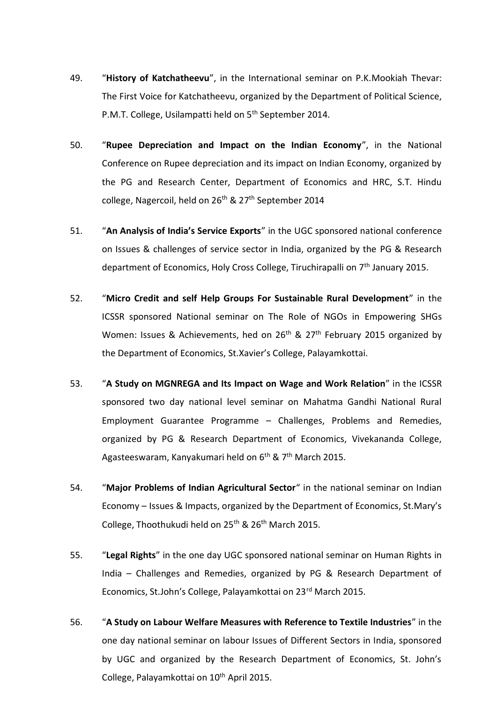- 49. "**History of Katchatheevu**", in the International seminar on P.K.Mookiah Thevar: The First Voice for Katchatheevu, organized by the Department of Political Science, P.M.T. College, Usilampatti held on 5<sup>th</sup> September 2014.
- 50. "**Rupee Depreciation and Impact on the Indian Economy**", in the National Conference on Rupee depreciation and its impact on Indian Economy, organized by the PG and Research Center, Department of Economics and HRC, S.T. Hindu college, Nagercoil, held on  $26<sup>th</sup>$  &  $27<sup>th</sup>$  September 2014
- 51. "**An Analysis of India's Service Exports**" in the UGC sponsored national conference on Issues & challenges of service sector in India, organized by the PG & Research department of Economics, Holy Cross College, Tiruchirapalli on  $7<sup>th</sup>$  January 2015.
- 52. "**Micro Credit and self Help Groups For Sustainable Rural Development**" in the ICSSR sponsored National seminar on The Role of NGOs in Empowering SHGs Women: Issues & Achievements, hed on 26<sup>th</sup> & 27<sup>th</sup> February 2015 organized by the Department of Economics, St.Xavier's College, Palayamkottai.
- 53. "**A Study on MGNREGA and Its Impact on Wage and Work Relation**" in the ICSSR sponsored two day national level seminar on Mahatma Gandhi National Rural Employment Guarantee Programme – Challenges, Problems and Remedies, organized by PG & Research Department of Economics, Vivekananda College, Agasteeswaram, Kanyakumari held on  $6<sup>th</sup>$  &  $7<sup>th</sup>$  March 2015.
- 54. "**Major Problems of Indian Agricultural Sector**" in the national seminar on Indian Economy – Issues & Impacts, organized by the Department of Economics, St.Mary's College, Thoothukudi held on  $25<sup>th</sup>$  &  $26<sup>th</sup>$  March 2015.
- 55. "**Legal Rights**" in the one day UGC sponsored national seminar on Human Rights in India – Challenges and Remedies, organized by PG & Research Department of Economics, St.John's College, Palayamkottai on 23<sup>rd</sup> March 2015.
- 56. "**A Study on Labour Welfare Measures with Reference to Textile Industries**" in the one day national seminar on labour Issues of Different Sectors in India, sponsored by UGC and organized by the Research Department of Economics, St. John's College, Palayamkottai on 10<sup>th</sup> April 2015.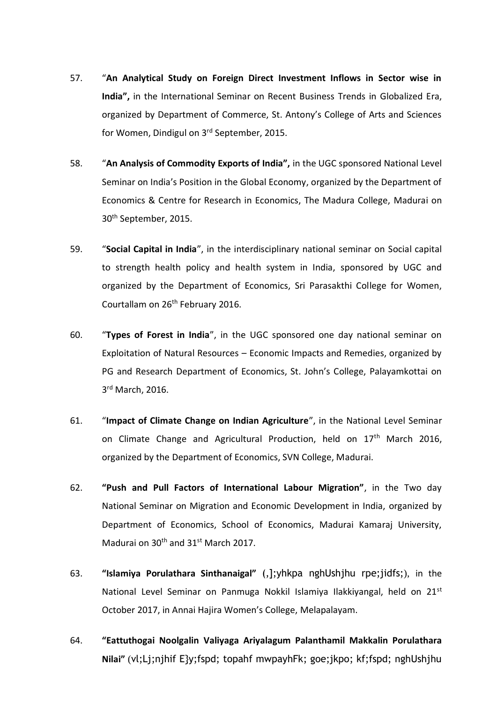- 57. "**An Analytical Study on Foreign Direct Investment Inflows in Sector wise in India",** in the International Seminar on Recent Business Trends in Globalized Era, organized by Department of Commerce, St. Antony's College of Arts and Sciences for Women, Dindigul on 3rd September, 2015.
- 58. "**An Analysis of Commodity Exports of India",** in the UGC sponsored National Level Seminar on India's Position in the Global Economy, organized by the Department of Economics & Centre for Research in Economics, The Madura College, Madurai on 30th September, 2015.
- 59. "**Social Capital in India**", in the interdisciplinary national seminar on Social capital to strength health policy and health system in India, sponsored by UGC and organized by the Department of Economics, Sri Parasakthi College for Women, Courtallam on 26th February 2016.
- 60. "**Types of Forest in India**", in the UGC sponsored one day national seminar on Exploitation of Natural Resources – Economic Impacts and Remedies, organized by PG and Research Department of Economics, St. John's College, Palayamkottai on 3<sup>rd</sup> March, 2016.
- 61. "**Impact of Climate Change on Indian Agriculture**", in the National Level Seminar on Climate Change and Agricultural Production, held on 17<sup>th</sup> March 2016, organized by the Department of Economics, SVN College, Madurai.
- 62. **"Push and Pull Factors of International Labour Migration"**, in the Two day National Seminar on Migration and Economic Development in India, organized by Department of Economics, School of Economics, Madurai Kamaraj University, Madurai on 30<sup>th</sup> and 31<sup>st</sup> March 2017.
- 63. **"Islamiya Porulathara Sinthanaigal"** (,];yhkpa nghUshjhu rpe;jidfs;), in the National Level Seminar on Panmuga Nokkil Islamiya Ilakkiyangal, held on 21<sup>st</sup> October 2017, in Annai Hajira Women's College, Melapalayam.
- 64. **"Eattuthogai Noolgalin Valiyaga Ariyalagum Palanthamil Makkalin Porulathara Nilai"** (vl;Lj;njhif E}y;fspd; topahf mwpayhFk; goe;jkpo; kf;fspd; nghUshjhu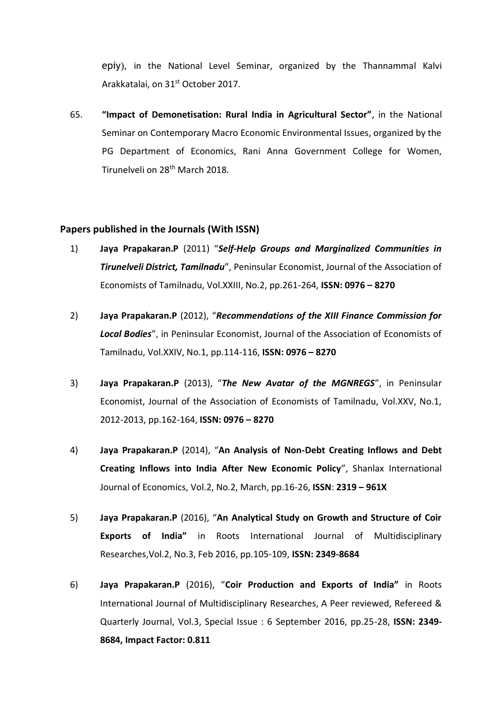epiy), in the National Level Seminar, organized by the Thannammal Kalvi Arakkatalai, on 31st October 2017.

65. **"Impact of Demonetisation: Rural India in Agricultural Sector"**, in the National Seminar on Contemporary Macro Economic Environmental Issues, organized by the PG Department of Economics, Rani Anna Government College for Women, Tirunelveli on 28<sup>th</sup> March 2018.

#### **Papers published in the Journals (With ISSN)**

- 1) **Jaya Prapakaran.P** (2011) "*Self-Help Groups and Marginalized Communities in Tirunelveli District, Tamilnadu*", Peninsular Economist, Journal of the Association of Economists of Tamilnadu, Vol.XXIII, No.2, pp.261-264, **ISSN: 0976 – 8270**
- 2) **Jaya Prapakaran.P** (2012), "*Recommendations of the XIII Finance Commission for Local Bodies*", in Peninsular Economist, Journal of the Association of Economists of Tamilnadu, Vol.XXIV, No.1, pp.114-116, **ISSN: 0976 – 8270**
- 3) **Jaya Prapakaran.P** (2013), "*The New Avatar of the MGNREGS*", in Peninsular Economist, Journal of the Association of Economists of Tamilnadu, Vol.XXV, No.1, 2012-2013, pp.162-164, **ISSN: 0976 – 8270**
- 4) **Jaya Prapakaran.P** (2014), "**An Analysis of Non-Debt Creating Inflows and Debt Creating Inflows into India After New Economic Policy**", Shanlax International Journal of Economics, Vol.2, No.2, March, pp.16-26, **ISSN**: **2319 – 961X**
- 5) **Jaya Prapakaran.P** (2016), "**An Analytical Study on Growth and Structure of Coir Exports of India"** in Roots International Journal of Multidisciplinary Researches,Vol.2, No.3, Feb 2016, pp.105-109, **ISSN: 2349-8684**
- 6) **Jaya Prapakaran.P** (2016), "**Coir Production and Exports of India"** in Roots International Journal of Multidisciplinary Researches, A Peer reviewed, Refereed & Quarterly Journal, Vol.3, Special Issue : 6 September 2016, pp.25-28, **ISSN: 2349- 8684, Impact Factor: 0.811**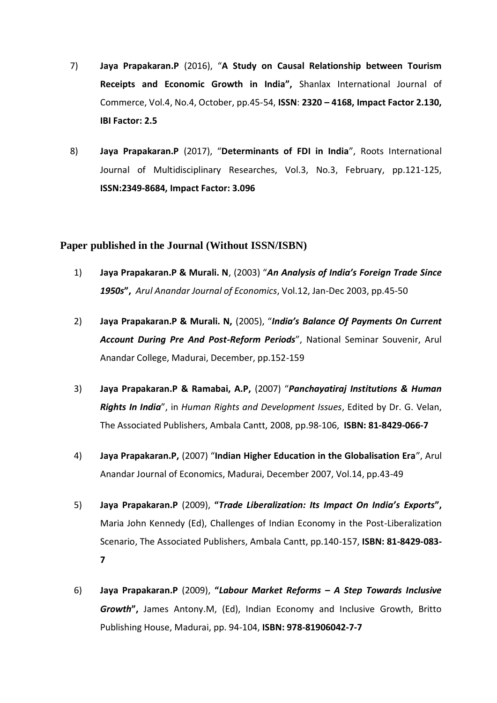- 7) **Jaya Prapakaran.P** (2016), "**A Study on Causal Relationship between Tourism Receipts and Economic Growth in India",** Shanlax International Journal of Commerce, Vol.4, No.4, October, pp.45-54, **ISSN**: **2320 – 4168, Impact Factor 2.130, IBI Factor: 2.5**
- 8) **Jaya Prapakaran.P** (2017), "**Determinants of FDI in India**", Roots International Journal of Multidisciplinary Researches, Vol.3, No.3, February, pp.121-125, **ISSN:2349-8684, Impact Factor: 3.096**

# **Paper published in the Journal (Without ISSN/ISBN)**

- 1) **Jaya Prapakaran.P & Murali. N**, (2003) "*An Analysis of India's Foreign Trade Since 1950s***",** *Arul Anandar Journal of Economics*, Vol.12, Jan-Dec 2003, pp.45-50
- 2) **Jaya Prapakaran.P & Murali. N,** (2005), "*India's Balance Of Payments On Current Account During Pre And Post-Reform Periods*", National Seminar Souvenir, Arul Anandar College, Madurai, December, pp.152-159
- 3) **Jaya Prapakaran.P & Ramabai, A.P,** (2007) "*Panchayatiraj Institutions & Human Rights In India*", in *Human Rights and Development Issues*, Edited by Dr. G. Velan, The Associated Publishers, Ambala Cantt, 2008, pp.98-106, **ISBN: 81-8429-066-7**
- 4) **Jaya Prapakaran.P,** (2007) "**Indian Higher Education in the Globalisation Era**", Arul Anandar Journal of Economics, Madurai, December 2007, Vol.14, pp.43-49
- 5) **Jaya Prapakaran.P** (2009), **"***Trade Liberalization: Its Impact On India's Exports***",**  Maria John Kennedy (Ed), Challenges of Indian Economy in the Post-Liberalization Scenario, The Associated Publishers, Ambala Cantt, pp.140-157, **ISBN: 81-8429-083- 7**
- 6) **Jaya Prapakaran.P** (2009), **"***Labour Market Reforms – A Step Towards Inclusive Growth***",** James Antony.M, (Ed), Indian Economy and Inclusive Growth, Britto Publishing House, Madurai, pp. 94-104, **ISBN: 978-81906042-7-7**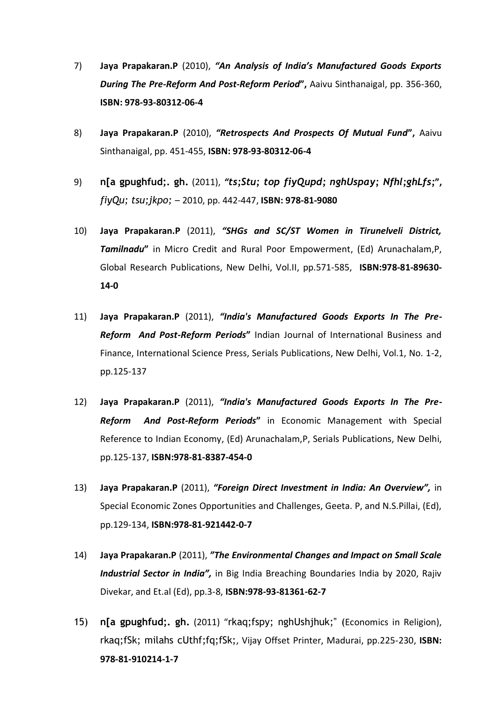- 7) **Jaya Prapakaran.P** (2010), *"An Analysis of India's Manufactured Goods Exports During The Pre-Reform And Post-Reform Period***",** Aaivu Sinthanaigal, pp. 356-360, **ISBN: 978-93-80312-06-4**
- 8) **Jaya Prapakaran.P** (2010), *"Retrospects And Prospects Of Mutual Fund***",** Aaivu Sinthanaigal, pp. 451-455, **ISBN: 978-93-80312-06-4**
- 9) **n[a gpughfud;. gh.** (2011), *"ts;Stu; top fiyQupd; nghUspay; Nfhl;ghLfs;***",**  *fiyQu; tsu;jkpo;* – 2010, pp. 442-447, **ISBN: 978-81-9080**
- 10) **Jaya Prapakaran.P** (2011), *"SHGs and SC/ST Women in Tirunelveli District, Tamilnadu***"** in Micro Credit and Rural Poor Empowerment, (Ed) Arunachalam,P, Global Research Publications, New Delhi, Vol.II, pp.571-585, **ISBN:978-81-89630- 14-0**
- 11) **Jaya Prapakaran.P** (2011), *"India's Manufactured Goods Exports In The Pre-Reform And Post-Reform Periods***"** Indian Journal of International Business and Finance, International Science Press, Serials Publications, New Delhi, Vol.1, No. 1-2, pp.125-137
- 12) **Jaya Prapakaran.P** (2011), *"India's Manufactured Goods Exports In The Pre-Reform And Post-Reform Periods***"** in Economic Management with Special Reference to Indian Economy, (Ed) Arunachalam,P, Serials Publications, New Delhi, pp.125-137, **ISBN:978-81-8387-454-0**
- 13) **Jaya Prapakaran.P** (2011), *"Foreign Direct Investment in India: An Overview",* in Special Economic Zones Opportunities and Challenges, Geeta. P, and N.S.Pillai, (Ed), pp.129-134, **ISBN:978-81-921442-0-7**
- 14) **Jaya Prapakaran.P** (2011), *"The Environmental Changes and Impact on Small Scale Industrial Sector in India",* in Big India Breaching Boundaries India by 2020, Rajiv Divekar, and Et.al (Ed), pp.3-8, **ISBN:978-93-81361-62-7**
- 15) **n[a gpughfud;. gh.** (2011) "rkaq;fspy; nghUshjhuk;" (Economics in Religion), rkaq;fSk; milahs cUthf;fq;fSk;, Vijay Offset Printer, Madurai, pp.225-230, **ISBN: 978-81-910214-1-7**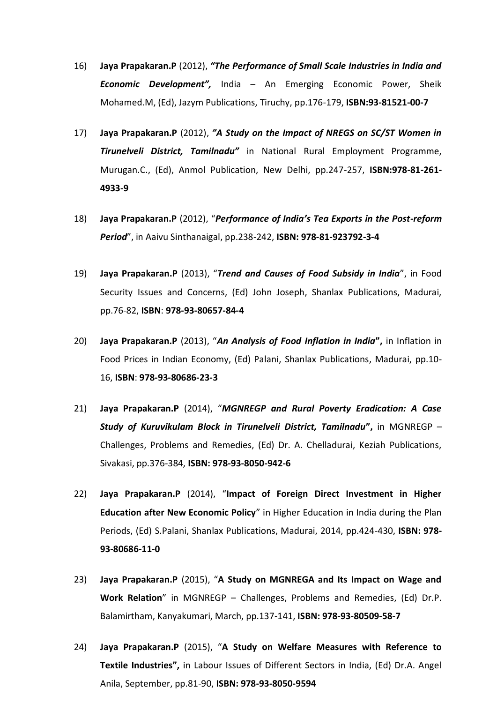- 16) **Jaya Prapakaran.P** (2012), *"The Performance of Small Scale Industries in India and Economic Development",* India – An Emerging Economic Power, Sheik Mohamed.M, (Ed), Jazym Publications, Tiruchy, pp.176-179, **ISBN:93-81521-00-7**
- 17) **Jaya Prapakaran.P** (2012), *"A Study on the Impact of NREGS on SC/ST Women in Tirunelveli District, Tamilnadu"* in National Rural Employment Programme, Murugan.C., (Ed), Anmol Publication, New Delhi, pp.247-257, **ISBN:978-81-261- 4933-9**
- 18) **Jaya Prapakaran.P** (2012), "*Performance of India's Tea Exports in the Post-reform Period*", in Aaivu Sinthanaigal, pp.238-242, **ISBN: 978-81-923792-3-4**
- 19) **Jaya Prapakaran.P** (2013), "*Trend and Causes of Food Subsidy in India*", in Food Security Issues and Concerns, (Ed) John Joseph, Shanlax Publications, Madurai, pp.76-82, **ISBN**: **978-93-80657-84-4**
- 20) **Jaya Prapakaran.P** (2013), "*An Analysis of Food Inflation in India***",** in Inflation in Food Prices in Indian Economy, (Ed) Palani, Shanlax Publications, Madurai, pp.10- 16, **ISBN**: **978-93-80686-23-3**
- 21) **Jaya Prapakaran.P** (2014), "*MGNREGP and Rural Poverty Eradication: A Case Study of Kuruvikulam Block in Tirunelveli District, Tamilnadu***",** in MGNREGP – Challenges, Problems and Remedies, (Ed) Dr. A. Chelladurai, Keziah Publications, Sivakasi, pp.376-384, **ISBN: 978-93-8050-942-6**
- 22) **Jaya Prapakaran.P** (2014), "**Impact of Foreign Direct Investment in Higher Education after New Economic Policy**" in Higher Education in India during the Plan Periods, (Ed) S.Palani, Shanlax Publications, Madurai, 2014, pp.424-430, **ISBN: 978- 93-80686-11-0**
- 23) **Jaya Prapakaran.P** (2015), "**A Study on MGNREGA and Its Impact on Wage and Work Relation**" in MGNREGP – Challenges, Problems and Remedies, (Ed) Dr.P. Balamirtham, Kanyakumari, March, pp.137-141, **ISBN: 978-93-80509-58-7**
- 24) **Jaya Prapakaran.P** (2015), "**A Study on Welfare Measures with Reference to Textile Industries",** in Labour Issues of Different Sectors in India, (Ed) Dr.A. Angel Anila, September, pp.81-90, **ISBN: 978-93-8050-9594**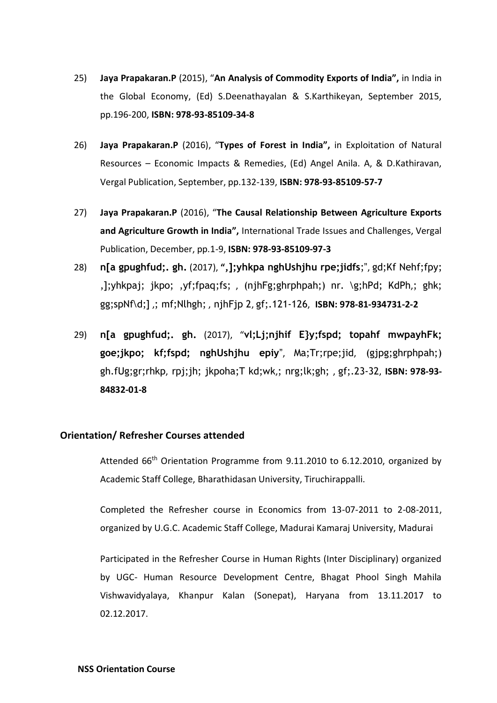- 25) **Jaya Prapakaran.P** (2015), "**An Analysis of Commodity Exports of India",** in India in the Global Economy, (Ed) S.Deenathayalan & S.Karthikeyan, September 2015, pp.196-200, **ISBN: 978-93-85109-34-8**
- 26) **Jaya Prapakaran.P** (2016), "**Types of Forest in India",** in Exploitation of Natural Resources – Economic Impacts & Remedies, (Ed) Angel Anila. A, & D.Kathiravan, Vergal Publication, September, pp.132-139, **ISBN: 978-93-85109-57-7**
- 27) **Jaya Prapakaran.P** (2016), "**The Causal Relationship Between Agriculture Exports and Agriculture Growth in India",** International Trade Issues and Challenges, Vergal Publication, December, pp.1-9, **ISBN: 978-93-85109-97-3**
- 28) **n[a gpughfud;. gh.** (2017), **",];yhkpa nghUshjhu rpe;jidfs**;", gd;Kf Nehf;fpy; ,];yhkpaj; jkpo; ,yf;fpaq;fs; , (njhFg;ghrphpah;) nr. \g;hPd; KdPh,; ghk; gg;spNf\d;] ,; mf;Nlhgh; , njhFjp 2, gf;.121-126, **ISBN: 978-81-934731-2-2**
- 29) **n[a gpughfud;. gh.** (2017), "**vl;Lj;njhif E}y;fspd; topahf mwpayhFk; goe;jkpo; kf;fspd; nghUshjhu epiy**", Ma;Tr;rpe;jid, (gjpg;ghrphpah;) gh.fUg;gr;rhkp, rpj;jh; jkpoha;T kd;wk,; nrg;lk;gh; , gf;.23-32, **ISBN: 978-93- 84832-01-8**

## **Orientation/ Refresher Courses attended**

Attended 66<sup>th</sup> Orientation Programme from 9.11.2010 to 6.12.2010, organized by Academic Staff College, Bharathidasan University, Tiruchirappalli.

Completed the Refresher course in Economics from 13-07-2011 to 2-08-2011, organized by U.G.C. Academic Staff College, Madurai Kamaraj University, Madurai

Participated in the Refresher Course in Human Rights (Inter Disciplinary) organized by UGC- Human Resource Development Centre, Bhagat Phool Singh Mahila Vishwavidyalaya, Khanpur Kalan (Sonepat), Haryana from 13.11.2017 to 02.12.2017.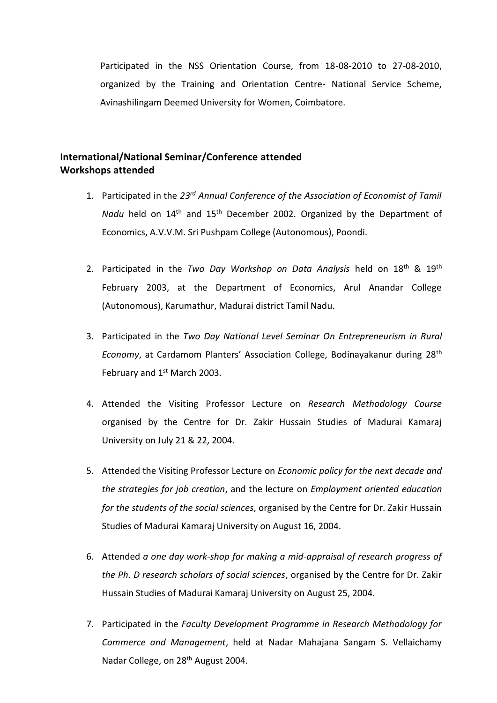Participated in the NSS Orientation Course, from 18-08-2010 to 27-08-2010, organized by the Training and Orientation Centre- National Service Scheme, Avinashilingam Deemed University for Women, Coimbatore.

# **International/National Seminar/Conference attended Workshops attended**

- 1. Participated in the *23rd Annual Conference of the Association of Economist of Tamil Nadu* held on 14<sup>th</sup> and 15<sup>th</sup> December 2002. Organized by the Department of Economics, A.V.V.M. Sri Pushpam College (Autonomous), Poondi.
- 2. Participated in the *Two Day Workshop on Data Analysis* held on 18th & 19th February 2003, at the Department of Economics, Arul Anandar College (Autonomous), Karumathur, Madurai district Tamil Nadu.
- 3. Participated in the *Two Day National Level Seminar On Entrepreneurism in Rural Economy*, at Cardamom Planters' Association College, Bodinayakanur during 28th February and 1<sup>st</sup> March 2003.
- 4. Attended the Visiting Professor Lecture on *Research Methodology Course* organised by the Centre for Dr. Zakir Hussain Studies of Madurai Kamaraj University on July 21 & 22, 2004.
- 5. Attended the Visiting Professor Lecture on *Economic policy for the next decade and the strategies for job creation*, and the lecture on *Employment oriented education for the students of the social sciences*, organised by the Centre for Dr. Zakir Hussain Studies of Madurai Kamaraj University on August 16, 2004.
- 6. Attended *a one day work-shop for making a mid-appraisal of research progress of the Ph. D research scholars of social sciences*, organised by the Centre for Dr. Zakir Hussain Studies of Madurai Kamaraj University on August 25, 2004.
- 7. Participated in the *Faculty Development Programme in Research Methodology for Commerce and Management*, held at Nadar Mahajana Sangam S. Vellaichamy Nadar College, on 28<sup>th</sup> August 2004.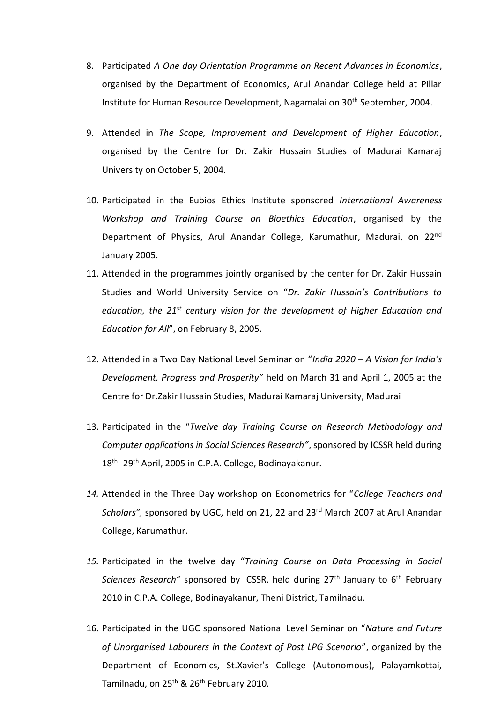- 8. Participated *A One day Orientation Programme on Recent Advances in Economics*, organised by the Department of Economics, Arul Anandar College held at Pillar Institute for Human Resource Development, Nagamalai on 30<sup>th</sup> September, 2004.
- 9. Attended in *The Scope, Improvement and Development of Higher Education*, organised by the Centre for Dr. Zakir Hussain Studies of Madurai Kamaraj University on October 5, 2004.
- 10. Participated in the Eubios Ethics Institute sponsored *International Awareness Workshop and Training Course on Bioethics Education*, organised by the Department of Physics, Arul Anandar College, Karumathur, Madurai, on 22<sup>nd</sup> January 2005.
- 11. Attended in the programmes jointly organised by the center for Dr. Zakir Hussain Studies and World University Service on "*Dr. Zakir Hussain's Contributions to education, the 21st century vision for the development of Higher Education and Education for All*", on February 8, 2005.
- 12. Attended in a Two Day National Level Seminar on "*India 2020 – A Vision for India's Development, Progress and Prosperity"* held on March 31 and April 1, 2005 at the Centre for Dr.Zakir Hussain Studies, Madurai Kamaraj University, Madurai
- 13. Participated in the "*Twelve day Training Course on Research Methodology and Computer applications in Social Sciences Research"*, sponsored by ICSSR held during 18<sup>th</sup> -29<sup>th</sup> April, 2005 in C.P.A. College, Bodinayakanur.
- *14.* Attended in the Three Day workshop on Econometrics for "*College Teachers and Scholars",* sponsored by UGC, held on 21, 22 and 23rd March 2007 at Arul Anandar College, Karumathur.
- *15.* Participated in the twelve day "*Training Course on Data Processing in Social Sciences Research*" sponsored by ICSSR, held during 27<sup>th</sup> January to 6<sup>th</sup> February 2010 in C.P.A. College, Bodinayakanur, Theni District, Tamilnadu.
- 16. Participated in the UGC sponsored National Level Seminar on "*Nature and Future of Unorganised Labourers in the Context of Post LPG Scenario*", organized by the Department of Economics, St.Xavier's College (Autonomous), Palayamkottai, Tamilnadu, on 25<sup>th</sup> & 26<sup>th</sup> February 2010.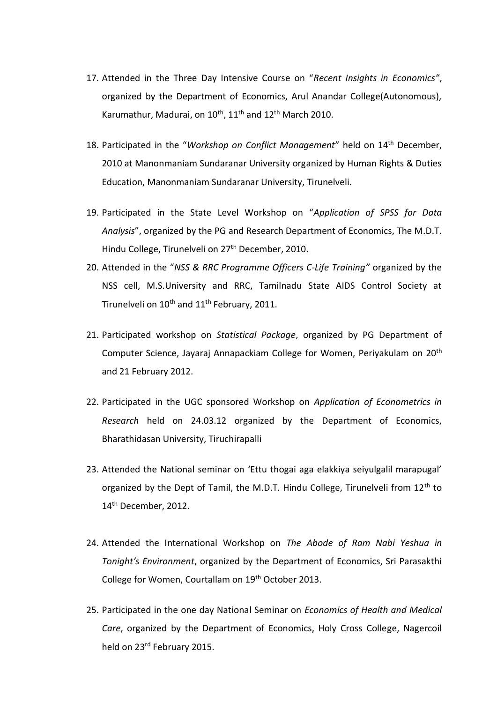- 17. Attended in the Three Day Intensive Course on "*Recent Insights in Economics"*, organized by the Department of Economics, Arul Anandar College(Autonomous), Karumathur, Madurai, on 10<sup>th</sup>, 11<sup>th</sup> and 12<sup>th</sup> March 2010.
- 18. Participated in the "*Workshop on Conflict Management*" held on 14th December, 2010 at Manonmaniam Sundaranar University organized by Human Rights & Duties Education, Manonmaniam Sundaranar University, Tirunelveli.
- 19. Participated in the State Level Workshop on "*Application of SPSS for Data Analysis*", organized by the PG and Research Department of Economics, The M.D.T. Hindu College, Tirunelveli on 27<sup>th</sup> December, 2010.
- 20. Attended in the "*NSS & RRC Programme Officers C-Life Training"* organized by the NSS cell, M.S.University and RRC, Tamilnadu State AIDS Control Society at Tirunelveli on 10<sup>th</sup> and 11<sup>th</sup> February, 2011.
- 21. Participated workshop on *Statistical Package*, organized by PG Department of Computer Science, Jayaraj Annapackiam College for Women, Periyakulam on 20th and 21 February 2012.
- 22. Participated in the UGC sponsored Workshop on *Application of Econometrics in Research* held on 24.03.12 organized by the Department of Economics, Bharathidasan University, Tiruchirapalli
- 23. Attended the National seminar on 'Ettu thogai aga elakkiya seiyulgalil marapugal' organized by the Dept of Tamil, the M.D.T. Hindu College, Tirunelveli from 12<sup>th</sup> to 14<sup>th</sup> December, 2012.
- 24. Attended the International Workshop on *The Abode of Ram Nabi Yeshua in Tonight's Environment*, organized by the Department of Economics, Sri Parasakthi College for Women, Courtallam on 19<sup>th</sup> October 2013.
- 25. Participated in the one day National Seminar on *Economics of Health and Medical Care*, organized by the Department of Economics, Holy Cross College, Nagercoil held on 23<sup>rd</sup> February 2015.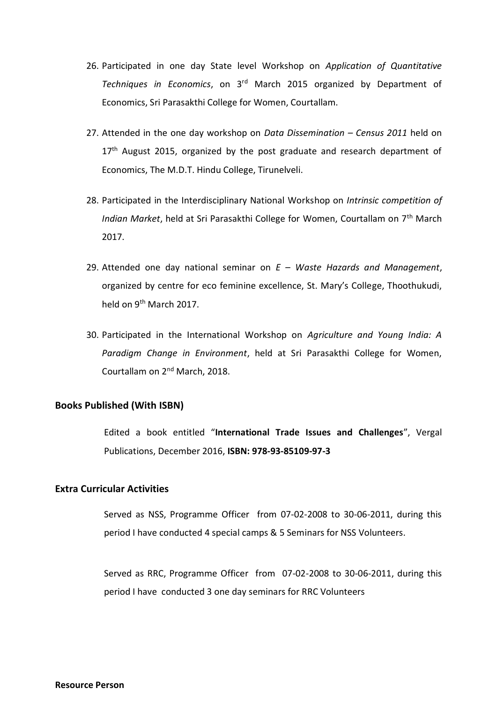- 26. Participated in one day State level Workshop on *Application of Quantitative Techniques in Economics*, on 3rd March 2015 organized by Department of Economics, Sri Parasakthi College for Women, Courtallam.
- 27. Attended in the one day workshop on *Data Dissemination – Census 2011* held on  $17<sup>th</sup>$  August 2015, organized by the post graduate and research department of Economics, The M.D.T. Hindu College, Tirunelveli.
- 28. Participated in the Interdisciplinary National Workshop on *Intrinsic competition of Indian Market*, held at Sri Parasakthi College for Women, Courtallam on 7th March 2017.
- 29. Attended one day national seminar on *E – Waste Hazards and Management*, organized by centre for eco feminine excellence, St. Mary's College, Thoothukudi, held on 9<sup>th</sup> March 2017.
- 30. Participated in the International Workshop on *Agriculture and Young India: A Paradigm Change in Environment*, held at Sri Parasakthi College for Women, Courtallam on 2nd March, 2018.

## **Books Published (With ISBN)**

Edited a book entitled "**International Trade Issues and Challenges**", Vergal Publications, December 2016, **ISBN: 978-93-85109-97-3**

# **Extra Curricular Activities**

Served as NSS, Programme Officer from 07-02-2008 to 30-06-2011, during this period I have conducted 4 special camps & 5 Seminars for NSS Volunteers.

Served as RRC, Programme Officerfrom 07-02-2008 to 30-06-2011, during this period I have conducted 3 one day seminars for RRC Volunteers